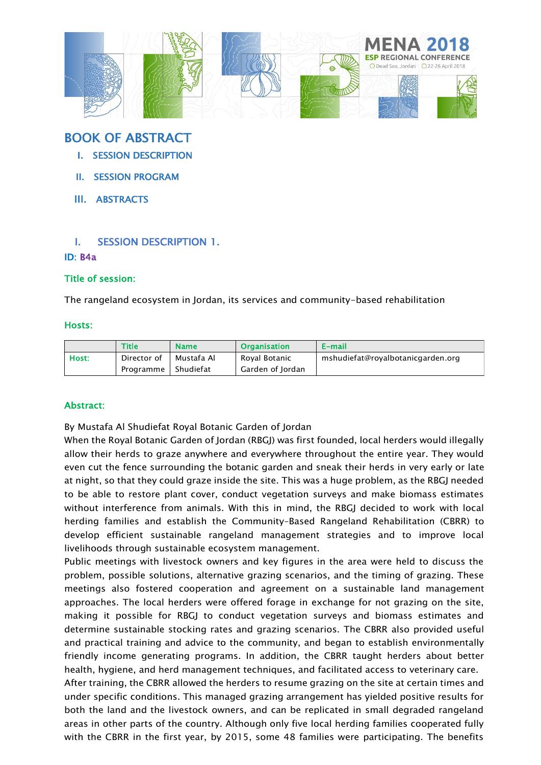

# BOOK OF ABSTRACT

- I. SESSION DESCRIPTION
- II. SESSION PROGRAM
- III. ABSTRACTS

# I. SESSION DESCRIPTION 1.

# ID: B4a

### Title of session:

The rangeland ecosystem in Jordan, its services and community-based rehabilitation

#### Hosts:

|       | <b>Title</b> | <b>Name</b> | <b>Organisation</b> | E-mail                            |
|-------|--------------|-------------|---------------------|-----------------------------------|
| Host: | Director of  | Mustafa Al  | Royal Botanic       | mshudiefat@royalbotanicgarden.org |
|       | Programme    | Shudiefat   | Garden of Jordan    |                                   |

## Abstract:

By Mustafa Al Shudiefat Royal Botanic Garden of Jordan

When the Royal Botanic Garden of Jordan (RBGJ) was first founded, local herders would illegally allow their herds to graze anywhere and everywhere throughout the entire year. They would even cut the fence surrounding the botanic garden and sneak their herds in very early or late at night, so that they could graze inside the site. This was a huge problem, as the RBGJ needed to be able to restore plant cover, conduct vegetation surveys and make biomass estimates without interference from animals. With this in mind, the RBGJ decided to work with local herding families and establish the Community–Based Rangeland Rehabilitation (CBRR) to develop efficient sustainable rangeland management strategies and to improve local livelihoods through sustainable ecosystem management.

Public meetings with livestock owners and key figures in the area were held to discuss the problem, possible solutions, alternative grazing scenarios, and the timing of grazing. These meetings also fostered cooperation and agreement on a sustainable land management approaches. The local herders were offered forage in exchange for not grazing on the site, making it possible for RBGJ to conduct vegetation surveys and biomass estimates and determine sustainable stocking rates and grazing scenarios. The CBRR also provided useful and practical training and advice to the community, and began to establish environmentally friendly income generating programs. In addition, the CBRR taught herders about better health, hygiene, and herd management techniques, and facilitated access to veterinary care.

After training, the CBRR allowed the herders to resume grazing on the site at certain times and under specific conditions. This managed grazing arrangement has yielded positive results for both the land and the livestock owners, and can be replicated in small degraded rangeland areas in other parts of the country. Although only five local herding families cooperated fully with the CBRR in the first year, by 2015, some 48 families were participating. The benefits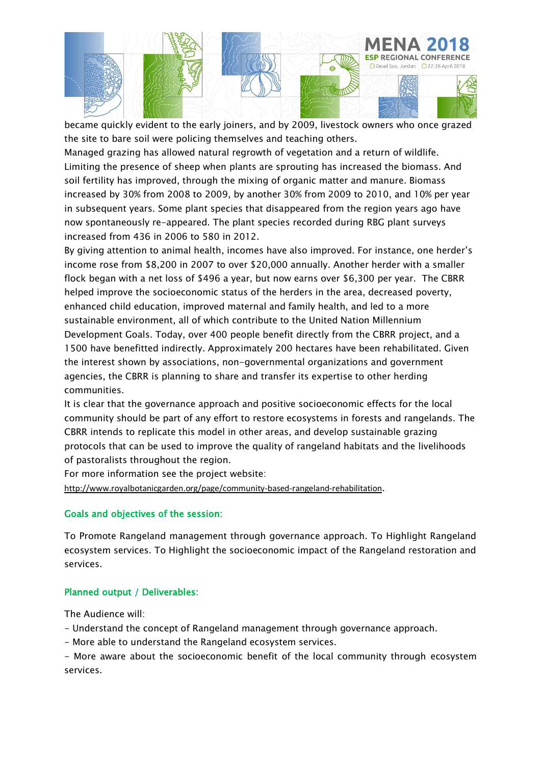

became quickly evident to the early joiners, and by 2009, livestock owners who once grazed the site to bare soil were policing themselves and teaching others.

Managed grazing has allowed natural regrowth of vegetation and a return of wildlife. Limiting the presence of sheep when plants are sprouting has increased the biomass. And soil fertility has improved, through the mixing of organic matter and manure. Biomass increased by 30% from 2008 to 2009, by another 30% from 2009 to 2010, and 10% per year in subsequent years. Some plant species that disappeared from the region years ago have now spontaneously re-appeared. The plant species recorded during RBG plant surveys increased from 436 in 2006 to 580 in 2012.

By giving attention to animal health, incomes have also improved. For instance, one herder's income rose from \$8,200 in 2007 to over \$20,000 annually. Another herder with a smaller flock began with a net loss of \$496 a year, but now earns over \$6,300 per year. The CBRR helped improve the socioeconomic status of the herders in the area, decreased poverty, enhanced child education, improved maternal and family health, and led to a more sustainable environment, all of which contribute to the United Nation Millennium Development Goals. Today, over 400 people benefit directly from the CBRR project, and a 1500 have benefitted indirectly. Approximately 200 hectares have been rehabilitated. Given the interest shown by associations, non-governmental organizations and government agencies, the CBRR is planning to share and transfer its expertise to other herding communities.

It is clear that the governance approach and positive socioeconomic effects for the local community should be part of any effort to restore ecosystems in forests and rangelands. The CBRR intends to replicate this model in other areas, and develop sustainable grazing protocols that can be used to improve the quality of rangeland habitats and the livelihoods of pastoralists throughout the region.

For more information see the project website:

<http://www.royalbotanicgarden.org/page/community-based-rangeland-rehabilitation>.

## Goals and objectives of the session:

To Promote Rangeland management through governance approach. To Highlight Rangeland ecosystem services. To Highlight the socioeconomic impact of the Rangeland restoration and services.

# Planned output / Deliverables:

The Audience will:

- Understand the concept of Rangeland management through governance approach.
- More able to understand the Rangeland ecosystem services.

- More aware about the socioeconomic benefit of the local community through ecosystem services.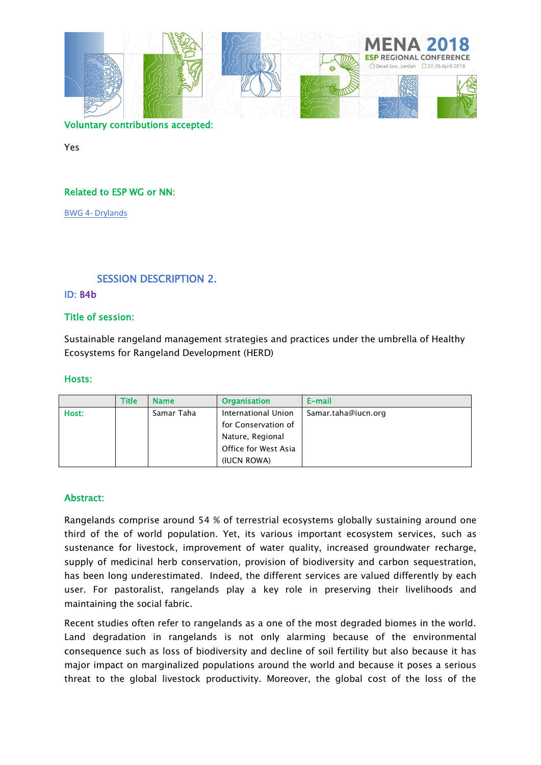

### Voluntary contributions accepted:

Yes

### Related to ESP WG or NN:

BWG 4- [Drylands](https://www.es-partnership.org/community/workings-groups/biome-working-groups/bwg-4-drylands/)

# SESSION DESCRIPTION 2.

#### ID: B4b

#### Title of session:

Sustainable rangeland management strategies and practices under the umbrella of Healthy Ecosystems for Rangeland Development (HERD)

#### Hosts:

|       | <b>Title</b> | <b>Name</b> | <b>Organisation</b>  | E-mail              |
|-------|--------------|-------------|----------------------|---------------------|
| Host: |              | Samar Taha  | International Union  | Samar.taha@iucn.org |
|       |              |             | for Conservation of  |                     |
|       |              |             | Nature, Regional     |                     |
|       |              |             | Office for West Asia |                     |
|       |              |             | (IUCN ROWA)          |                     |

#### Abstract:

Rangelands comprise around 54 % of terrestrial ecosystems globally sustaining around one third of the of world population. Yet, its various important ecosystem services, such as sustenance for livestock, improvement of water quality, increased groundwater recharge, supply of medicinal herb conservation, provision of biodiversity and carbon sequestration, has been long underestimated. Indeed, the different services are valued differently by each user. For pastoralist, rangelands play a key role in preserving their livelihoods and maintaining the social fabric.

Recent studies often refer to rangelands as a one of the most degraded biomes in the world. Land degradation in rangelands is not only alarming because of the environmental consequence such as loss of biodiversity and decline of soil fertility but also because it has major impact on marginalized populations around the world and because it poses a serious threat to the global livestock productivity. Moreover, the global cost of the loss of the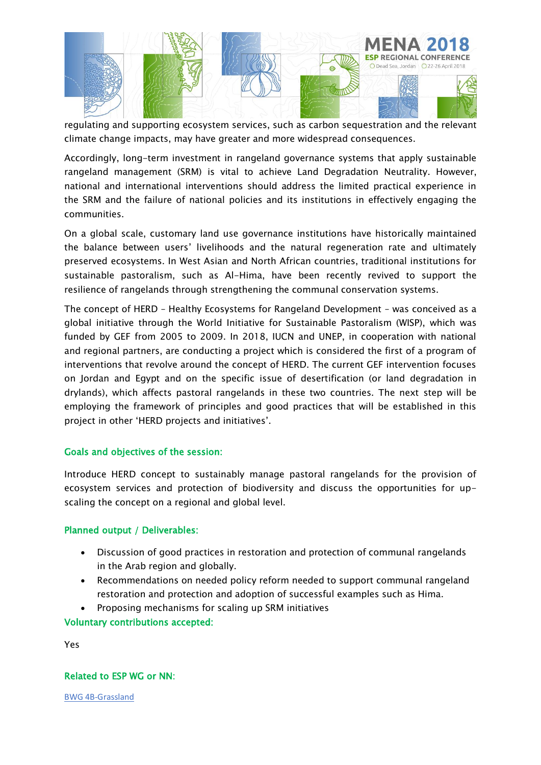

regulating and supporting ecosystem services, such as carbon sequestration and the relevant climate change impacts, may have greater and more widespread consequences.

Accordingly, long-term investment in rangeland governance systems that apply sustainable rangeland management (SRM) is vital to achieve Land Degradation Neutrality. However, national and international interventions should address the limited practical experience in the SRM and the failure of national policies and its institutions in effectively engaging the communities.

On a global scale, customary land use governance institutions have historically maintained the balance between users' livelihoods and the natural regeneration rate and ultimately preserved ecosystems. In West Asian and North African countries, traditional institutions for sustainable pastoralism, such as Al-Hima, have been recently revived to support the resilience of rangelands through strengthening the communal conservation systems.

The concept of HERD – Healthy Ecosystems for Rangeland Development – was conceived as a global initiative through the World Initiative for Sustainable Pastoralism (WISP), which was funded by GEF from 2005 to 2009. In 2018, IUCN and UNEP, in cooperation with national and regional partners, are conducting a project which is considered the first of a program of interventions that revolve around the concept of HERD. The current GEF intervention focuses on Jordan and Egypt and on the specific issue of desertification (or land degradation in drylands), which affects pastoral rangelands in these two countries. The next step will be employing the framework of principles and good practices that will be established in this project in other 'HERD projects and initiatives'.

## Goals and objectives of the session:

Introduce HERD concept to sustainably manage pastoral rangelands for the provision of ecosystem services and protection of biodiversity and discuss the opportunities for upscaling the concept on a regional and global level.

## Planned output / Deliverables:

- Discussion of good practices in restoration and protection of communal rangelands in the Arab region and globally.
- Recommendations on needed policy reform needed to support communal rangeland restoration and protection and adoption of successful examples such as Hima.
- Proposing mechanisms for scaling up SRM initiatives

Voluntary contributions accepted:

Yes

## Related to ESP WG or NN:

BWG 4B-Grassland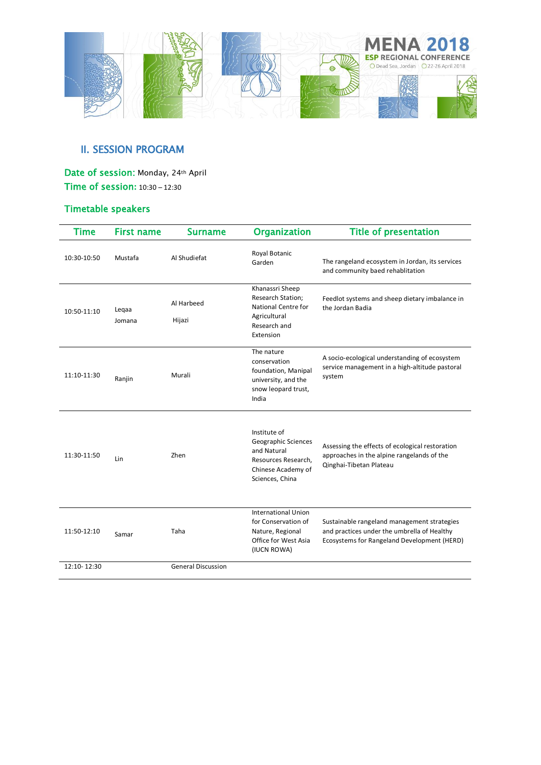

# **II. SESSION PROGRAM**

# Date of session: Monday, 24th April Time of session**:** 10:30 – 12:30

# Timetable speakers

| Time        | <b>First name</b> | <b>Surname</b>            | <b>Organization</b>                                                                                                | <b>Title of presentation</b>                                                                                                              |
|-------------|-------------------|---------------------------|--------------------------------------------------------------------------------------------------------------------|-------------------------------------------------------------------------------------------------------------------------------------------|
| 10:30-10:50 | Mustafa           | Al Shudiefat              | Royal Botanic<br>Garden                                                                                            | The rangeland ecosystem in Jordan, its services<br>and community baed rehablitation                                                       |
| 10:50-11:10 | Legaa<br>Jomana   | Al Harbeed<br>Hijazi      | Khanassri Sheep<br>Research Station;<br>National Centre for<br>Agricultural<br>Research and<br>Extension           | Feedlot systems and sheep dietary imbalance in<br>the Jordan Badia                                                                        |
| 11:10-11:30 | Ranjin            | Murali                    | The nature<br>conservation<br>foundation, Manipal<br>university, and the<br>snow leopard trust,<br>India           | A socio-ecological understanding of ecosystem<br>service management in a high-altitude pastoral<br>system                                 |
| 11:30-11:50 | Lin               | Zhen                      | Institute of<br>Geographic Sciences<br>and Natural<br>Resources Research,<br>Chinese Academy of<br>Sciences, China | Assessing the effects of ecological restoration<br>approaches in the alpine rangelands of the<br>Qinghai-Tibetan Plateau                  |
| 11:50-12:10 | Samar             | Taha                      | <b>International Union</b><br>for Conservation of<br>Nature, Regional<br>Office for West Asia<br>(IUCN ROWA)       | Sustainable rangeland management strategies<br>and practices under the umbrella of Healthy<br>Ecosystems for Rangeland Development (HERD) |
| 12:10-12:30 |                   | <b>General Discussion</b> |                                                                                                                    |                                                                                                                                           |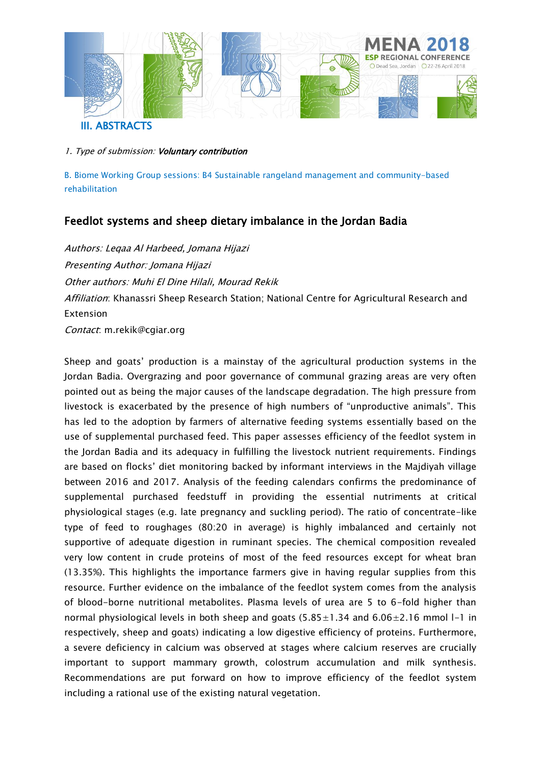

1. Type of submission: Voluntary contribution

B. Biome Working Group sessions: B4 Sustainable rangeland management and community-based rehabilitation

# Feedlot systems and sheep dietary imbalance in the Jordan Badia

Authors: Leqaa Al Harbeed, Jomana Hijazi Presenting Author: Jomana Hijazi Other authors: Muhi El Dine Hilali, Mourad Rekik Affiliation: Khanassri Sheep Research Station; National Centre for Agricultural Research and Extension Contact: m.rekik@cgiar.org

Sheep and goats' production is a mainstay of the agricultural production systems in the Jordan Badia. Overgrazing and poor governance of communal grazing areas are very often pointed out as being the major causes of the landscape degradation. The high pressure from livestock is exacerbated by the presence of high numbers of "unproductive animals". This has led to the adoption by farmers of alternative feeding systems essentially based on the use of supplemental purchased feed. This paper assesses efficiency of the feedlot system in the Jordan Badia and its adequacy in fulfilling the livestock nutrient requirements. Findings are based on flocks' diet monitoring backed by informant interviews in the Majdiyah village between 2016 and 2017. Analysis of the feeding calendars confirms the predominance of supplemental purchased feedstuff in providing the essential nutriments at critical physiological stages (e.g. late pregnancy and suckling period). The ratio of concentrate-like type of feed to roughages (80:20 in average) is highly imbalanced and certainly not supportive of adequate digestion in ruminant species. The chemical composition revealed very low content in crude proteins of most of the feed resources except for wheat bran (13.35%). This highlights the importance farmers give in having regular supplies from this resource. Further evidence on the imbalance of the feedlot system comes from the analysis of blood-borne nutritional metabolites. Plasma levels of urea are 5 to 6-fold higher than normal physiological levels in both sheep and goats  $(5.85 \pm 1.34$  and  $6.06 \pm 2.16$  mmol l-1 in respectively, sheep and goats) indicating a low digestive efficiency of proteins. Furthermore, a severe deficiency in calcium was observed at stages where calcium reserves are crucially important to support mammary growth, colostrum accumulation and milk synthesis. Recommendations are put forward on how to improve efficiency of the feedlot system including a rational use of the existing natural vegetation.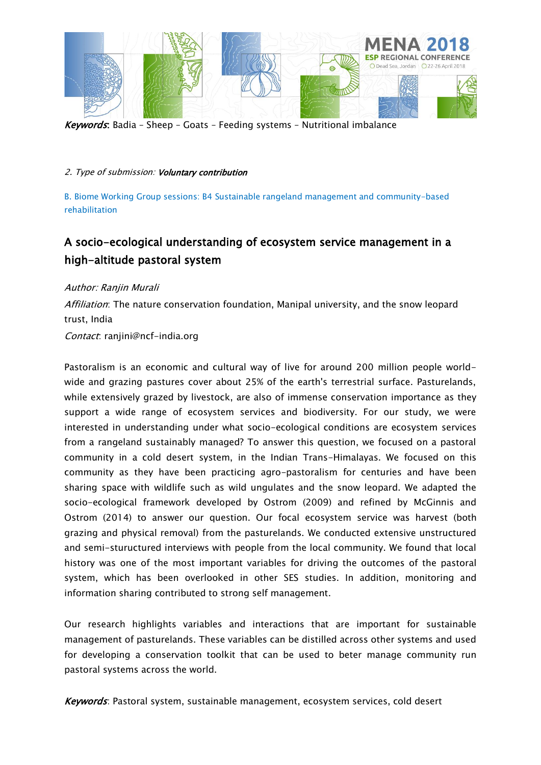

Keywords: Badia – Sheep – Goats – Feeding systems – Nutritional imbalance

### 2. Type of submission: Voluntary contribution

B. Biome Working Group sessions: B4 Sustainable rangeland management and community-based rehabilitation

# A socio-ecological understanding of ecosystem service management in a high-altitude pastoral system

Author: Ranjin Murali

Affiliation: The nature conservation foundation, Manipal university, and the snow leopard trust, India

Contact: ranjini@ncf-india.org

Pastoralism is an economic and cultural way of live for around 200 million people worldwide and grazing pastures cover about 25% of the earth's terrestrial surface. Pasturelands, while extensively grazed by livestock, are also of immense conservation importance as they support a wide range of ecosystem services and biodiversity. For our study, we were interested in understanding under what socio-ecological conditions are ecosystem services from a rangeland sustainably managed? To answer this question, we focused on a pastoral community in a cold desert system, in the Indian Trans-Himalayas. We focused on this community as they have been practicing agro-pastoralism for centuries and have been sharing space with wildlife such as wild ungulates and the snow leopard. We adapted the socio-ecological framework developed by Ostrom (2009) and refined by McGinnis and Ostrom (2014) to answer our question. Our focal ecosystem service was harvest (both grazing and physical removal) from the pasturelands. We conducted extensive unstructured and semi-stuructured interviews with people from the local community. We found that local history was one of the most important variables for driving the outcomes of the pastoral system, which has been overlooked in other SES studies. In addition, monitoring and information sharing contributed to strong self management.

Our research highlights variables and interactions that are important for sustainable management of pasturelands. These variables can be distilled across other systems and used for developing a conservation toolkit that can be used to beter manage community run pastoral systems across the world.

Keywords: Pastoral system, sustainable management, ecosystem services, cold desert